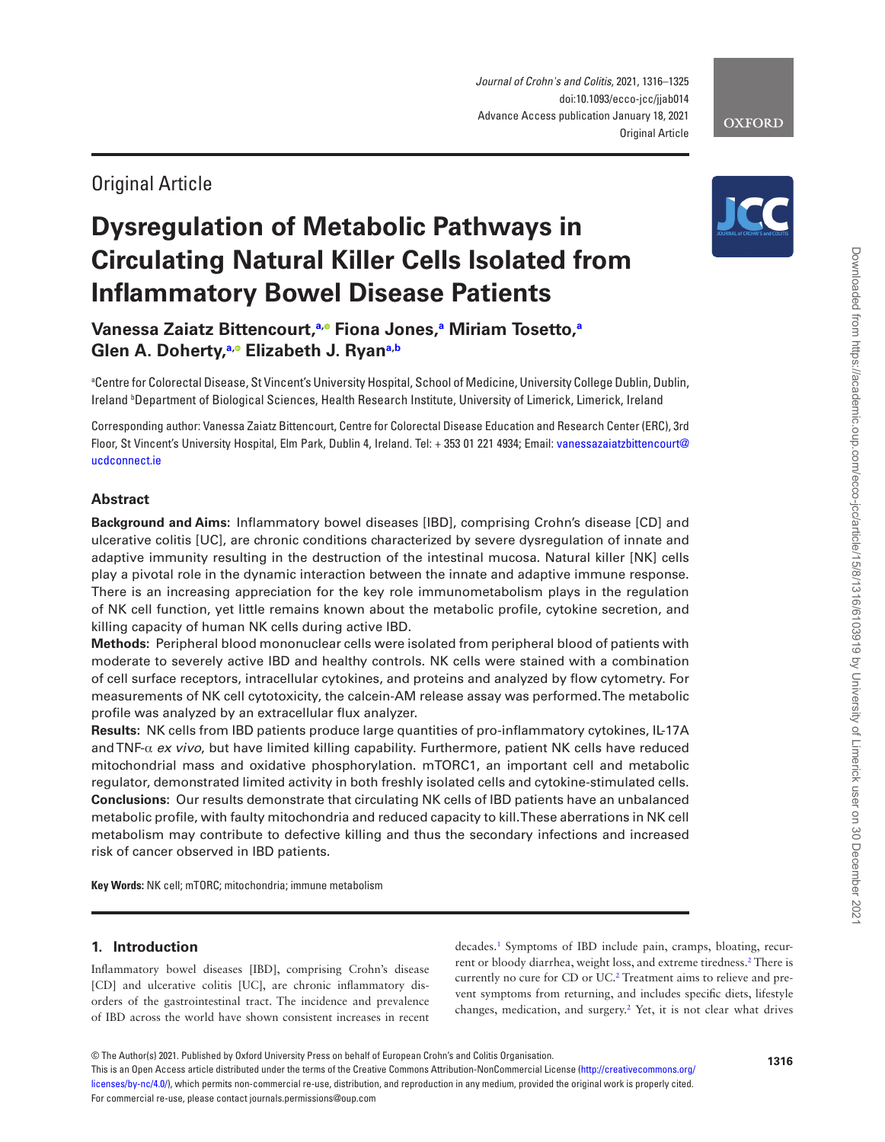*Journal of Crohn's and Colitis*, 2021, 1316–1325 doi:10.1093/ecco-jcc/jjab014 Advance Access publication January 18, 2021 Original Article

## Original Article

## **Dysregulation of Metabolic Pathways in Circulating Natural Killer Cells Isolated from Inflammatory Bowel Disease Patients**

**Vanessa Zaiatz Bittencourt,[a](#page-0-0)[,](https://orcid.org/0000-0003-0567-3223) Fiona Jones,[a](#page-0-0) Miriam Tosetto[,a](#page-0-0) Glen A. Doherty,[a](#page-0-0)[,](https://orcid.org/0000-0003-4384-5049) Elizabeth J. Rya[na](#page-0-0)[,b](#page-0-1)**

<span id="page-0-1"></span><span id="page-0-0"></span>a Centre for Colorectal Disease, St Vincent's University Hospital, School of Medicine, University College Dublin, Dublin, Ireland b Department of Biological Sciences, Health Research Institute, University of Limerick, Limerick, Ireland

Corresponding author: Vanessa Zaiatz Bittencourt, Centre for Colorectal Disease Education and Research Center (ERC), 3rd Floor, St Vincent's University Hospital, Elm Park, Dublin 4, Ireland. Tel: + 353 01 221 4934; Email: [vanessazaiatzbittencourt@](mailto:vanessazaiatzbittencourt@ucdconnect.ie?subject=) [ucdconnect.ie](mailto:vanessazaiatzbittencourt@ucdconnect.ie?subject=)

## **Abstract**

**Background and Aims:** Inflammatory bowel diseases [IBD], comprising Crohn's disease [CD] and ulcerative colitis [UC], are chronic conditions characterized by severe dysregulation of innate and adaptive immunity resulting in the destruction of the intestinal mucosa. Natural killer [NK] cells play a pivotal role in the dynamic interaction between the innate and adaptive immune response. There is an increasing appreciation for the key role immunometabolism plays in the regulation of NK cell function, yet little remains known about the metabolic profile, cytokine secretion, and killing capacity of human NK cells during active IBD.

**Methods:** Peripheral blood mononuclear cells were isolated from peripheral blood of patients with moderate to severely active IBD and healthy controls. NK cells were stained with a combination of cell surface receptors, intracellular cytokines, and proteins and analyzed by flow cytometry. For measurements of NK cell cytotoxicity, the calcein-AM release assay was performed. The metabolic profile was analyzed by an extracellular flux analyzer.

**Results:** NK cells from IBD patients produce large quantities of pro-inflammatory cytokines, IL-17A and TNF-α *ex vivo*, but have limited killing capability. Furthermore, patient NK cells have reduced mitochondrial mass and oxidative phosphorylation. mTORC1, an important cell and metabolic regulator, demonstrated limited activity in both freshly isolated cells and cytokine-stimulated cells. **Conclusions:** Our results demonstrate that circulating NK cells of IBD patients have an unbalanced metabolic profile, with faulty mitochondria and reduced capacity to kill. These aberrations in NK cell metabolism may contribute to defective killing and thus the secondary infections and increased risk of cancer observed in IBD patients.

**Key Words:** NK cell; mTORC; mitochondria; immune metabolism

## **1. Introduction**

Inflammatory bowel diseases [IBD], comprising Crohn's disease [CD] and ulcerative colitis [UC], are chronic inflammatory disorders of the gastrointestinal tract. The incidence and prevalence of IBD across the world have shown consistent increases in recent

decades[.1](#page-8-0) Symptoms of IBD include pain, cramps, bloating, recur-rent or bloody diarrhea, weight loss, and extreme tiredness.<sup>[2](#page-8-1)</sup> There is currently no cure for CD or UC[.2](#page-8-1) Treatment aims to relieve and prevent symptoms from returning, and includes specific diets, lifestyle changes, medication, and surgery[.2](#page-8-1) Yet, it is not clear what drives

This is an Open Access article distributed under the terms of the Creative Commons Attribution-NonCommercial License [\(http://creativecommons.org/](http://creativecommons.org/licenses/by-nc/4.0/) [licenses/by-nc/4.0/](http://creativecommons.org/licenses/by-nc/4.0/)), which permits non-commercial re-use, distribution, and reproduction in any medium, provided the original work is properly cited. For commercial re-use, please contact journals.permissions@oup.com



# **OXFORD**

<sup>©</sup> The Author(s) 2021. Published by Oxford University Press on behalf of European Crohn's and Colitis Organisation.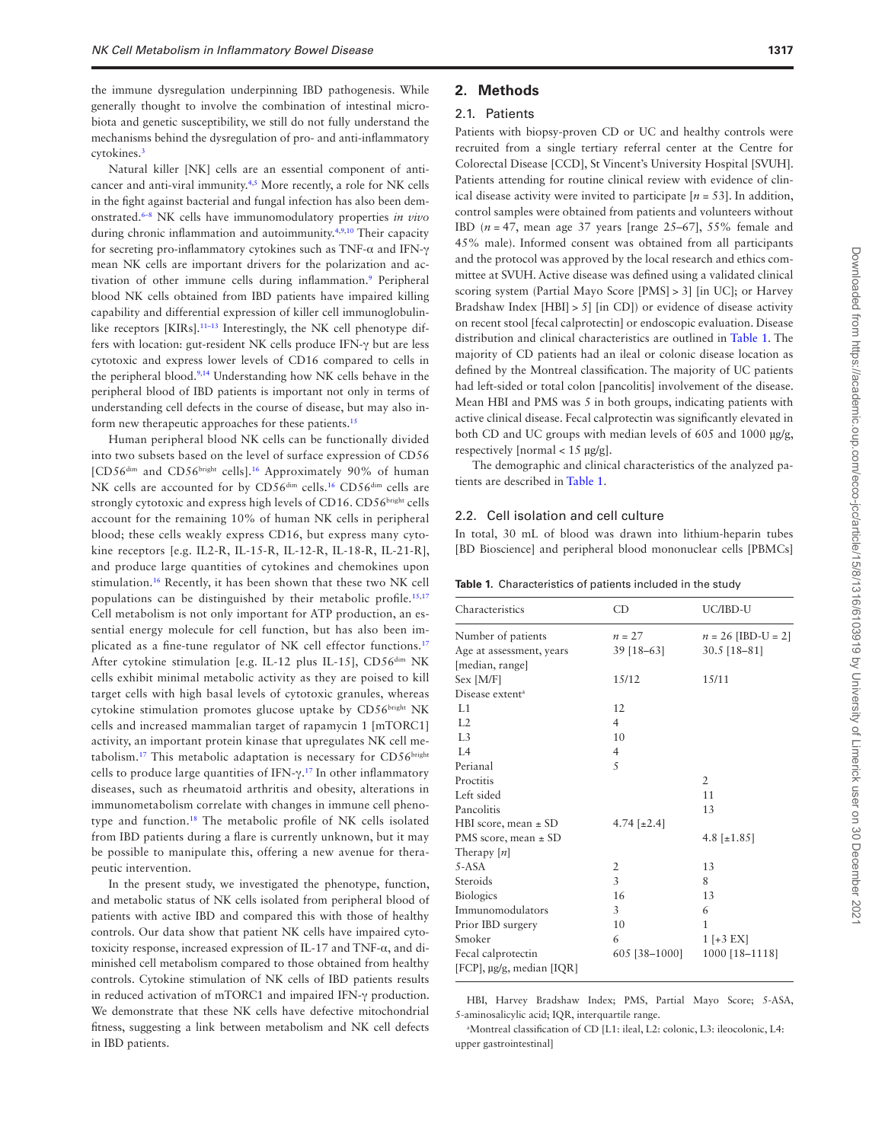the immune dysregulation underpinning IBD pathogenesis. While generally thought to involve the combination of intestinal microbiota and genetic susceptibility, we still do not fully understand the mechanisms behind the dysregulation of pro- and anti-inflammatory cytokines.<sup>[3](#page-8-2)</sup>

Natural killer [NK] cells are an essential component of anticancer and anti-viral immunity.[4](#page-8-3),[5](#page-8-4) More recently, a role for NK cells in the fight against bacterial and fungal infection has also been demonstrated.[6](#page-8-5)–[8](#page-8-6) NK cells have immunomodulatory properties *in vivo* during chronic inflammation and autoimmunity.[4,](#page-8-3)[9](#page-8-7),[10](#page-8-8) Their capacity for secreting pro-inflammatory cytokines such as TNF-α and IFN-γ mean NK cells are important drivers for the polarization and activation of other immune cells during inflammation.<sup>9</sup> Peripheral blood NK cells obtained from IBD patients have impaired killing capability and differential expression of killer cell immunoglobulin-like receptors [KIRs].<sup>11-[13](#page-8-10)</sup> Interestingly, the NK cell phenotype differs with location: gut-resident NK cells produce IFN-γ but are less cytotoxic and express lower levels of CD16 compared to cells in the peripheral blood[.9,](#page-8-7)[14](#page-8-11) Understanding how NK cells behave in the peripheral blood of IBD patients is important not only in terms of understanding cell defects in the course of disease, but may also inform new therapeutic approaches for these patients.<sup>15</sup>

Human peripheral blood NK cells can be functionally divided into two subsets based on the level of surface expression of CD56 [CD56<sup>dim</sup> and CD56<sup>bright</sup> cells].<sup>16</sup> Approximately 90% of human NK cells are accounted for by CD56<sup>dim</sup> cells.<sup>[16](#page-8-13)</sup> CD56<sup>dim</sup> cells are strongly cytotoxic and express high levels of CD16. CD56bright cells account for the remaining 10% of human NK cells in peripheral blood; these cells weakly express CD16, but express many cytokine receptors [e.g. IL2-R, IL-15-R, IL-12-R, IL-18-R, IL-21-R], and produce large quantities of cytokines and chemokines upon stimulation.[16](#page-8-13) Recently, it has been shown that these two NK cell populations can be distinguished by their metabolic profile.<sup>15,[17](#page-8-14)</sup> Cell metabolism is not only important for ATP production, an essential energy molecule for cell function, but has also been implicated as a fine-tune regulator of NK cell effector functions.[17](#page-8-14) After cytokine stimulation [e.g. IL-12 plus IL-15], CD56<sup>dim</sup> NK cells exhibit minimal metabolic activity as they are poised to kill target cells with high basal levels of cytotoxic granules, whereas cytokine stimulation promotes glucose uptake by CD56bright NK cells and increased mammalian target of rapamycin 1 [mTORC1] activity, an important protein kinase that upregulates NK cell metabolism.<sup>17</sup> This metabolic adaptation is necessary for CD56<sup>bright</sup> cells to produce large quantities of IFN- $\gamma$ .<sup>[17](#page-8-14)</sup> In other inflammatory diseases, such as rheumatoid arthritis and obesity, alterations in immunometabolism correlate with changes in immune cell phenotype and function[.18](#page-8-15) The metabolic profile of NK cells isolated from IBD patients during a flare is currently unknown, but it may be possible to manipulate this, offering a new avenue for therapeutic intervention.

In the present study, we investigated the phenotype, function, and metabolic status of NK cells isolated from peripheral blood of patients with active IBD and compared this with those of healthy controls. Our data show that patient NK cells have impaired cytotoxicity response, increased expression of IL-17 and TNF-α, and diminished cell metabolism compared to those obtained from healthy controls. Cytokine stimulation of NK cells of IBD patients results in reduced activation of mTORC1 and impaired IFN-γ production. We demonstrate that these NK cells have defective mitochondrial fitness, suggesting a link between metabolism and NK cell defects in IBD patients.

## **2. Methods**

#### 2.1. Patients

Patients with biopsy-proven CD or UC and healthy controls were recruited from a single tertiary referral center at the Centre for Colorectal Disease [CCD], St Vincent's University Hospital [SVUH]. Patients attending for routine clinical review with evidence of clinical disease activity were invited to participate  $[n = 53]$ . In addition, control samples were obtained from patients and volunteers without IBD (*n* = 47, mean age 37 years [range 25–67], 55% female and 45% male). Informed consent was obtained from all participants and the protocol was approved by the local research and ethics committee at SVUH. Active disease was defined using a validated clinical scoring system (Partial Mayo Score [PMS] > 3] [in UC]; or Harvey Bradshaw Index  $[HBI] > 5$ ] [in CD]) or evidence of disease activity on recent stool [fecal calprotectin] or endoscopic evaluation. Disease distribution and clinical characteristics are outlined in [Table 1.](#page-1-0) The majority of CD patients had an ileal or colonic disease location as defined by the Montreal classification. The majority of UC patients had left-sided or total colon [pancolitis] involvement of the disease. Mean HBI and PMS was 5 in both groups, indicating patients with active clinical disease. Fecal calprotectin was significantly elevated in both CD and UC groups with median levels of 605 and 1000 µg/g, respectively [normal < 15 µg/g].

The demographic and clinical characteristics of the analyzed patients are described in [Table 1.](#page-1-0)

#### 2.2. Cell isolation and cell culture

In total, 30 mL of blood was drawn into lithium-heparin tubes [BD Bioscience] and peripheral blood mononuclear cells [PBMCs]

<span id="page-1-0"></span>

|  | Table 1. Characteristics of patients included in the study |
|--|------------------------------------------------------------|
|--|------------------------------------------------------------|

| Characteristics             | CD                 | UC/IBD-U                       |
|-----------------------------|--------------------|--------------------------------|
| Number of patients          | $n = 27$           | $n = 26$ [IBD-U = 2]           |
| Age at assessment, years    | $39$ [18-63]       | $30.5$ [18-81]                 |
| [median, range]             |                    |                                |
| Sex [M/F]                   | 15/12              | 15/11                          |
| Disease extent <sup>a</sup> |                    |                                |
| L1                          | 12                 |                                |
| L2                          | $\overline{4}$     |                                |
| L <sub>3</sub>              | 10                 |                                |
| IA                          | $\overline{4}$     |                                |
| Perianal                    | 5                  |                                |
| Proctitis                   |                    | $\overline{2}$                 |
| Left sided                  |                    | 11                             |
| Pancolitis                  |                    | 13                             |
| HBI score, mean $\pm$ SD    | 4.74 [ $\pm 2.4$ ] |                                |
| PMS score, mean $\pm$ SD    |                    | 4.8 $\lbrack \pm 1.85 \rbrack$ |
| Therapy $[n]$               |                    |                                |
| $5-ASA$                     | $\overline{2}$     | 13                             |
| Steroids                    | 3                  | 8                              |
| <b>Biologics</b>            | 16                 | 13                             |
| Immunomodulators            | 3                  | 6                              |
| Prior IBD surgery           | 10                 | 1                              |
| Smoker                      | 6                  | $1$ [+3 EX]                    |
| Fecal calprotectin          | 605 [38-1000]      | 1000 [18-1118]                 |
| [FCP], µg/g, median [IQR]   |                    |                                |

HBI, Harvey Bradshaw Index; PMS, Partial Mayo Score; 5-ASA, 5-aminosalicylic acid; IQR, interquartile range.

a Montreal classification of CD [L1: ileal, L2: colonic, L3: ileocolonic, L4: upper gastrointestinal]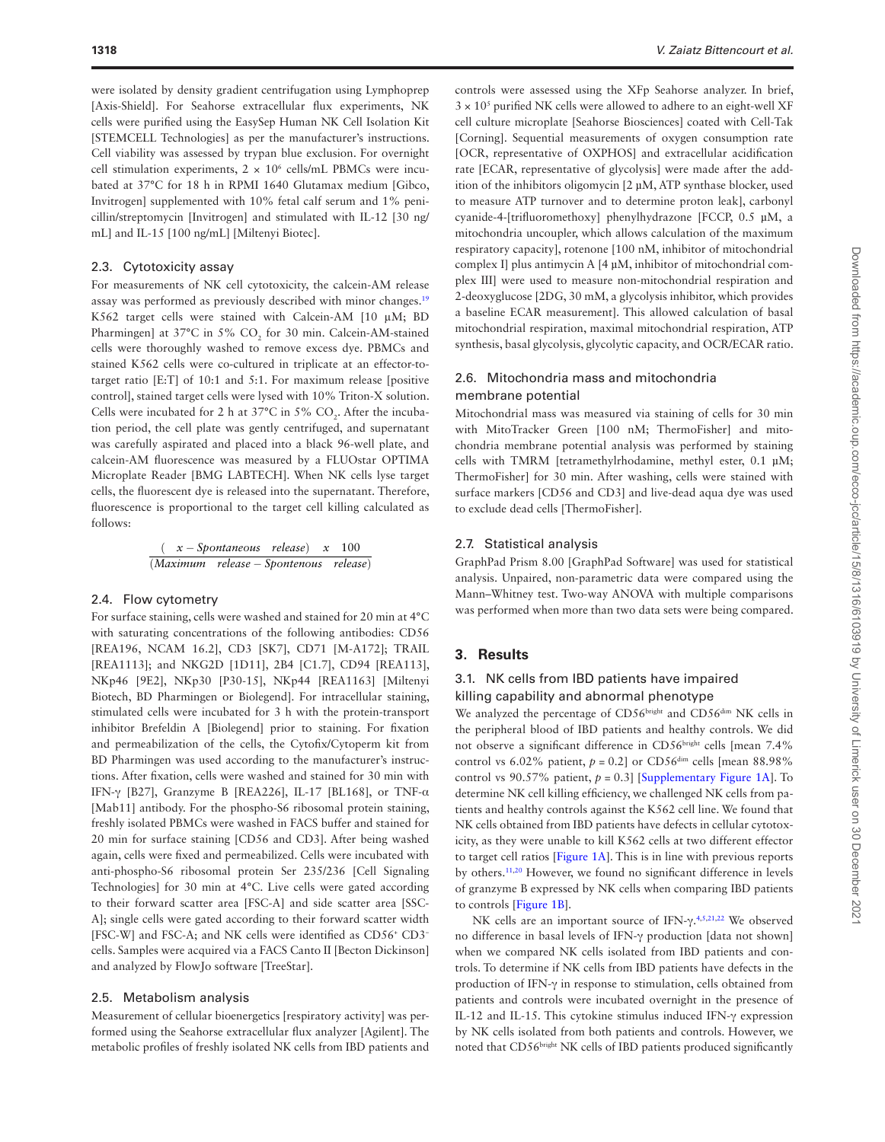were isolated by density gradient centrifugation using Lymphoprep [Axis-Shield]. For Seahorse extracellular flux experiments, NK cells were purified using the EasySep Human NK Cell Isolation Kit [STEMCELL Technologies] as per the manufacturer's instructions. Cell viability was assessed by trypan blue exclusion. For overnight cell stimulation experiments,  $2 \times 10^6$  cells/mL PBMCs were incubated at 37°C for 18 h in RPMI 1640 Glutamax medium [Gibco, Invitrogen] supplemented with 10% fetal calf serum and 1% penicillin/streptomycin [Invitrogen] and stimulated with IL-12 [30 ng/ mL] and IL-15 [100 ng/mL] [Miltenyi Biotec].

#### 2.3. Cytotoxicity assay

For measurements of NK cell cytotoxicity, the calcein-AM release assay was performed as previously described with minor changes.[19](#page-8-16) K562 target cells were stained with Calcein-AM [10 μM; BD Pharmingen] at 37°C in 5% CO<sub>2</sub> for 30 min. Calcein-AM-stained cells were thoroughly washed to remove excess dye. PBMCs and stained K562 cells were co-cultured in triplicate at an effector-totarget ratio [E:T] of 10:1 and 5:1. For maximum release [positive control], stained target cells were lysed with 10% Triton-X solution. Cells were incubated for 2 h at 37 $^{\circ}$ C in 5% CO<sub>2</sub>. After the incubation period, the cell plate was gently centrifuged, and supernatant was carefully aspirated and placed into a black 96-well plate, and calcein-AM fluorescence was measured by a FLUOstar OPTIMA Microplate Reader [BMG LABTECH]. When NK cells lyse target cells, the fluorescent dye is released into the supernatant. Therefore, fluorescence is proportional to the target cell killing calculated as follows:

$$
\frac{(\quad x - Spontaneous \quad release) \quad x \quad 100}{(Maximum \quad release - Spontenous \quad release)}
$$

#### 2.4. Flow cytometry

For surface staining, cells were washed and stained for 20 min at 4°C with saturating concentrations of the following antibodies: CD56 [REA196, NCAM 16.2], CD3 [SK7], CD71 [M-A172]; TRAIL [REA1113]; and NKG2D [1D11], 2B4 [C1.7], CD94 [REA113], NKp46 [9E2], NKp30 [P30-15], NKp44 [REA1163] [Miltenyi Biotech, BD Pharmingen or Biolegend]. For intracellular staining, stimulated cells were incubated for 3 h with the protein-transport inhibitor Brefeldin A [Biolegend] prior to staining. For fixation and permeabilization of the cells, the Cytofix/Cytoperm kit from BD Pharmingen was used according to the manufacturer's instructions. After fixation, cells were washed and stained for 30 min with IFN-γ [B27], Granzyme B [REA226], IL-17 [BL168], or TNF-α [Mab11] antibody. For the phospho-S6 ribosomal protein staining, freshly isolated PBMCs were washed in FACS buffer and stained for 20 min for surface staining [CD56 and CD3]. After being washed again, cells were fixed and permeabilized. Cells were incubated with anti-phospho-S6 ribosomal protein Ser 235/236 [Cell Signaling Technologies] for 30 min at 4°C. Live cells were gated according to their forward scatter area [FSC-A] and side scatter area [SSC-A]; single cells were gated according to their forward scatter width [FSC-W] and FSC-A; and NK cells were identified as CD56<sup>+</sup> CD3<sup>-</sup> cells. Samples were acquired via a FACS Canto II [Becton Dickinson] and analyzed by FlowJo software [TreeStar].

#### 2.5. Metabolism analysis

Measurement of cellular bioenergetics [respiratory activity] was performed using the Seahorse extracellular flux analyzer [Agilent]. The metabolic profiles of freshly isolated NK cells from IBD patients and controls were assessed using the XFp Seahorse analyzer. In brief,  $3 \times 10^5$  purified NK cells were allowed to adhere to an eight-well XF cell culture microplate [Seahorse Biosciences] coated with Cell-Tak [Corning]. Sequential measurements of oxygen consumption rate [OCR, representative of OXPHOS] and extracellular acidification rate [ECAR, representative of glycolysis] were made after the addition of the inhibitors oligomycin [2 µM, ATP synthase blocker, used to measure ATP turnover and to determine proton leak], carbonyl cyanide-4-[trifluoromethoxy] phenylhydrazone [FCCP, 0.5 µM, a mitochondria uncoupler, which allows calculation of the maximum respiratory capacity], rotenone [100 nM, inhibitor of mitochondrial complex I] plus antimycin A [4 µM, inhibitor of mitochondrial complex III] were used to measure non-mitochondrial respiration and 2-deoxyglucose [2DG, 30 mM, a glycolysis inhibitor, which provides a baseline ECAR measurement]. This allowed calculation of basal mitochondrial respiration, maximal mitochondrial respiration, ATP synthesis, basal glycolysis, glycolytic capacity, and OCR/ECAR ratio.

## 2.6. Mitochondria mass and mitochondria membrane potential

Mitochondrial mass was measured via staining of cells for 30 min with MitoTracker Green [100 nM; ThermoFisher] and mitochondria membrane potential analysis was performed by staining cells with TMRM [tetramethylrhodamine, methyl ester, 0.1 µM; ThermoFisher] for 30 min. After washing, cells were stained with surface markers [CD56 and CD3] and live-dead aqua dye was used to exclude dead cells [ThermoFisher].

#### 2.7. Statistical analysis

GraphPad Prism 8.00 [GraphPad Software] was used for statistical analysis. Unpaired, non-parametric data were compared using the Mann–Whitney test. Two-way ANOVA with multiple comparisons was performed when more than two data sets were being compared.

## **3. Results**

## 3.1. NK cells from IBD patients have impaired killing capability and abnormal phenotype

We analyzed the percentage of CD56bright and CD56<sup>dim</sup> NK cells in the peripheral blood of IBD patients and healthy controls. We did not observe a significant difference in CD56<sup>bright</sup> cells [mean 7.4% control vs  $6.02\%$  patient,  $p = 0.2$ ] or CD56<sup>dim</sup> cells [mean 88.98%] control vs 90.57% patient,  $p = 0.3$ ] [\[Supplementary Figure 1A](http://academic.oup.com/ecco-jcc/article-lookup/doi/10.1093/ecco-jcc/jjab014#supplementary-data)]. To determine NK cell killing efficiency, we challenged NK cells from patients and healthy controls against the K562 cell line. We found that NK cells obtained from IBD patients have defects in cellular cytotoxicity, as they were unable to kill K562 cells at two different effector to target cell ratios [\[Figure 1A\]](#page-3-0). This is in line with previous reports by others.[11](#page-8-9)[,20](#page-8-17) However, we found no significant difference in levels of granzyme B expressed by NK cells when comparing IBD patients to controls [\[Figure 1B\]](#page-3-0).

NK cells are an important source of IFN-γ. [4,](#page-8-3)[5,](#page-8-4)[21](#page-8-18)[,22](#page-8-19) We observed no difference in basal levels of IFN-γ production [data not shown] when we compared NK cells isolated from IBD patients and controls. To determine if NK cells from IBD patients have defects in the production of IFN-γ in response to stimulation, cells obtained from patients and controls were incubated overnight in the presence of IL-12 and IL-15. This cytokine stimulus induced IFN-γ expression by NK cells isolated from both patients and controls. However, we noted that CD56bright NK cells of IBD patients produced significantly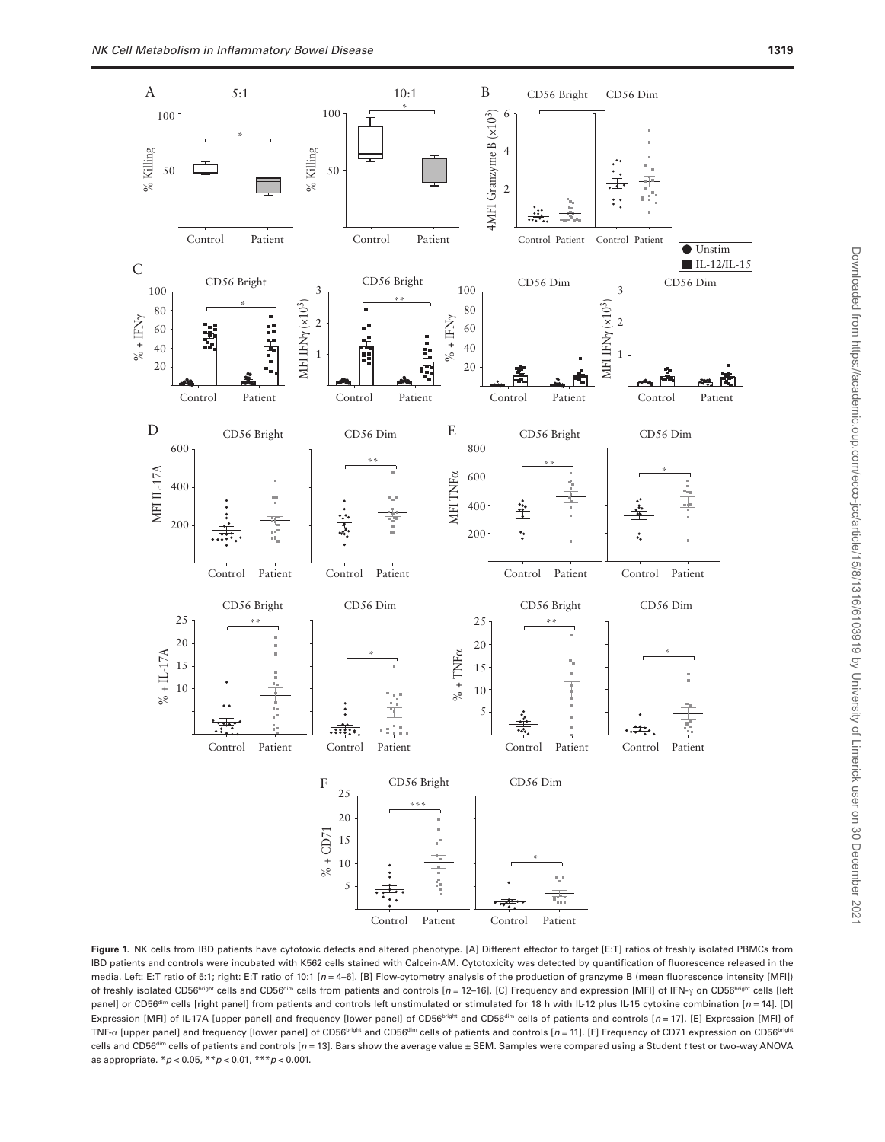

<span id="page-3-0"></span>**Figure 1.** NK cells from IBD patients have cytotoxic defects and altered phenotype. [A] Different effector to target [E:T] ratios of freshly isolated PBMCs from IBD patients and controls were incubated with K562 cells stained with Calcein-AM. Cytotoxicity was detected by quantification of fluorescence released in the media. Left: E:T ratio of 5:1; right: E:T ratio of 10:1 [*n* = 4–6]. [B] Flow-cytometry analysis of the production of granzyme B (mean fluorescence intensity [MFI]) of freshly isolated CD56bright cells and CD56dim cells from patients and controls [*n* = 12–16]. [C] Frequency and expression [MFI] of IFN-γ on CD56bright cells [left panel] or CD56<sup>dim</sup> cells [right panel] from patients and controls left unstimulated or stimulated for 18 h with IL-12 plus IL-15 cytokine combination [*n* = 14]. [D] Expression [MFI] of IL-17A [upper panel] and frequency [lower panel] of CD56<sup>bright</sup> and CD56<sup>dim</sup> cells of patients and controls [*n* = 17]. [E] Expression [MFI] of TNF-α [upper panel] and frequency [lower panel] of CD56bright and CD56<sup>dim</sup> cells of patients and controls [*n* = 11]. [F] Frequency of CD71 expression on CD56bright cells and CD56<sup>dim</sup> cells of patients and controls [n = 13]. Bars show the average value ± SEM. Samples were compared using a Student *t* test or two-way ANOVA as appropriate. \**p* < 0.05, \*\**p* < 0.01, \*\*\**p* < 0.001.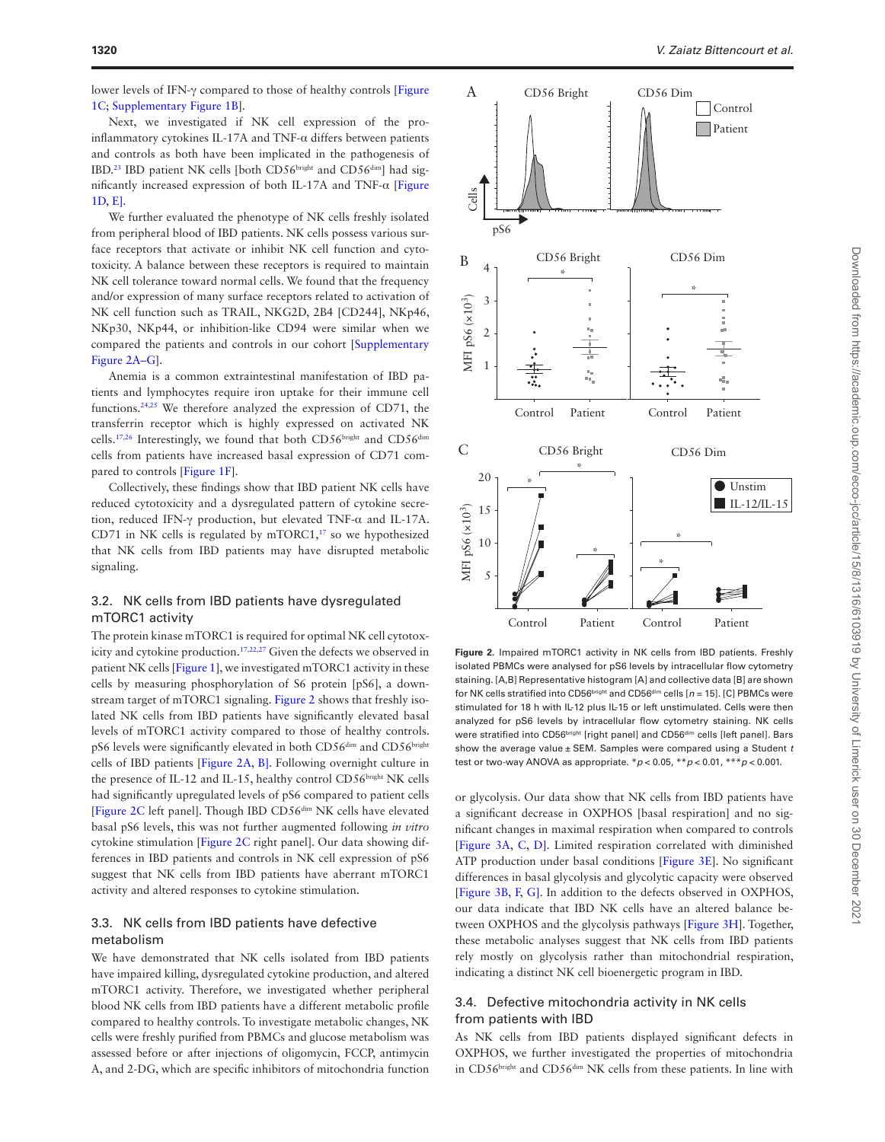lower levels of IFN-γ compared to those of healthy controls [\[Figure](#page-3-0) [1C](#page-3-0); [Supplementary Figure 1B\]](http://academic.oup.com/ecco-jcc/article-lookup/doi/10.1093/ecco-jcc/jjab014#supplementary-data).

Next, we investigated if NK cell expression of the proinflammatory cytokines IL-17A and TNF-α differs between patients and controls as both have been implicated in the pathogenesis of IBD.<sup>23</sup> IBD patient NK cells [both CD56bright and CD56<sup>dim</sup>] had significantly increased expression of both IL-17A and TNF-α [\[Figure](#page-3-0) [1D](#page-3-0), [E\]](#page-3-0).

We further evaluated the phenotype of NK cells freshly isolated from peripheral blood of IBD patients. NK cells possess various surface receptors that activate or inhibit NK cell function and cytotoxicity. A balance between these receptors is required to maintain NK cell tolerance toward normal cells. We found that the frequency and/or expression of many surface receptors related to activation of NK cell function such as TRAIL, NKG2D, 2B4 [CD244], NKp46, NKp30, NKp44, or inhibition-like CD94 were similar when we compared the patients and controls in our cohort [[Supplementary](http://academic.oup.com/ecco-jcc/article-lookup/doi/10.1093/ecco-jcc/jjab014#supplementary-data) [Figure 2A–G\]](http://academic.oup.com/ecco-jcc/article-lookup/doi/10.1093/ecco-jcc/jjab014#supplementary-data).

Anemia is a common extraintestinal manifestation of IBD patients and lymphocytes require iron uptake for their immune cell functions[.24,](#page-8-21)[25](#page-8-22) We therefore analyzed the expression of CD71, the transferrin receptor which is highly expressed on activated NK cells.<sup>17,26</sup> Interestingly, we found that both CD56<sup>bright</sup> and CD56<sup>dim</sup> cells from patients have increased basal expression of CD71 compared to controls [\[Figure 1F](#page-3-0)].

Collectively, these findings show that IBD patient NK cells have reduced cytotoxicity and a dysregulated pattern of cytokine secretion, reduced IFN-γ production, but elevated TNF-α and IL-17A. CD71 in NK cells is regulated by  $mTORC1$ ,<sup>17</sup> so we hypothesized that NK cells from IBD patients may have disrupted metabolic signaling.

### 3.2. NK cells from IBD patients have dysregulated mTORC1 activity

The protein kinase mTORC1 is required for optimal NK cell cytotox-icity and cytokine production.<sup>17,[22,](#page-8-19)[27](#page-8-24)</sup> Given the defects we observed in patient NK cells [[Figure 1](#page-3-0)], we investigated mTORC1 activity in these cells by measuring phosphorylation of S6 protein [pS6], a downstream target of mTORC1 signaling. [Figure 2](#page-4-0) shows that freshly isolated NK cells from IBD patients have significantly elevated basal levels of mTORC1 activity compared to those of healthy controls. pS6 levels were significantly elevated in both CD56<sup>dim</sup> and CD56<sup>bright</sup> cells of IBD patients [\[Figure 2A,](#page-4-0) [B\]](#page-4-0). Following overnight culture in the presence of IL-12 and IL-15, healthy control CD56bright NK cells had significantly upregulated levels of pS6 compared to patient cells [[Figure 2C](#page-4-0) left panel]. Though IBD CD56dim NK cells have elevated basal pS6 levels, this was not further augmented following *in vitro* cytokine stimulation [[Figure 2C](#page-4-0) right panel]. Our data showing differences in IBD patients and controls in NK cell expression of pS6 suggest that NK cells from IBD patients have aberrant mTORC1 activity and altered responses to cytokine stimulation.

### 3.3. NK cells from IBD patients have defective metabolism

We have demonstrated that NK cells isolated from IBD patients have impaired killing, dysregulated cytokine production, and altered mTORC1 activity. Therefore, we investigated whether peripheral blood NK cells from IBD patients have a different metabolic profile compared to healthy controls. To investigate metabolic changes, NK cells were freshly purified from PBMCs and glucose metabolism was assessed before or after injections of oligomycin, FCCP, antimycin A, and 2-DG, which are specific inhibitors of mitochondria function



<span id="page-4-0"></span>**Figure 2.** Impaired mTORC1 activity in NK cells from IBD patients. Freshly isolated PBMCs were analysed for pS6 levels by intracellular flow cytometry staining. [A,B] Representative histogram [A] and collective data [B] are shown for NK cells stratified into CD56<sup>bright</sup> and CD56<sup>dim</sup> cells [n = 15]. [C] PBMCs were stimulated for 18 h with IL-12 plus IL-15 or left unstimulated. Cells were then analyzed for pS6 levels by intracellular flow cytometry staining. NK cells were stratified into CD56bright [right panel] and CD56dim cells [left panel]. Bars show the average value ± SEM. Samples were compared using a Student *t* test or two-way ANOVA as appropriate. \**p* < 0.05, \*\**p* < 0.01, \*\*\**p* < 0.001.

or glycolysis. Our data show that NK cells from IBD patients have a significant decrease in OXPHOS [basal respiration] and no significant changes in maximal respiration when compared to controls [[Figure 3A](#page-5-0), [C](#page-5-0), [D\]](#page-5-0). Limited respiration correlated with diminished ATP production under basal conditions [[Figure 3E\]](#page-5-0). No significant differences in basal glycolysis and glycolytic capacity were observed [[Figure 3B,](#page-5-0) [F,](#page-5-0) [G\].](#page-5-0) In addition to the defects observed in OXPHOS, our data indicate that IBD NK cells have an altered balance between OXPHOS and the glycolysis pathways [[Figure 3H](#page-5-0)]. Together, these metabolic analyses suggest that NK cells from IBD patients rely mostly on glycolysis rather than mitochondrial respiration, indicating a distinct NK cell bioenergetic program in IBD.

## 3.4. Defective mitochondria activity in NK cells from patients with IBD

As NK cells from IBD patients displayed significant defects in OXPHOS, we further investigated the properties of mitochondria in CD56bright and CD56<sup>dim</sup> NK cells from these patients. In line with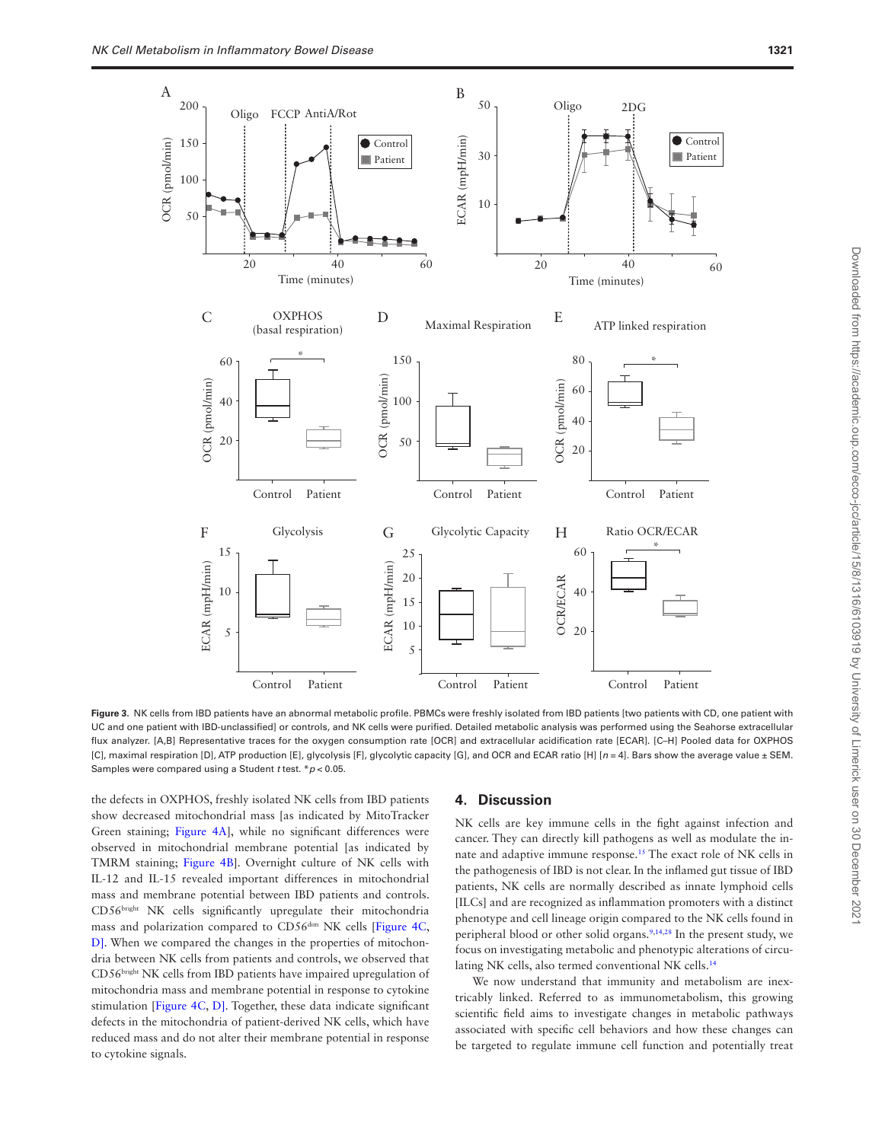

<span id="page-5-0"></span>Figure 3. NK cells from IBD patients have an abnormal metabolic profile. PBMCs were freshly isolated from IBD patients [two patients with CD, one patient with UC and one patient with IBD-unclassified] or controls, and NK cells were purified. Detailed metabolic analysis was performed using the Seahorse extracellular flux analyzer. [A,B] Representative traces for the oxygen consumption rate [OCR] and extracellular acidification rate [ECAR]. [C–H] Pooled data for OXPHOS [C], maximal respiration [D], ATP production [E], glycolysis [F], glycolytic capacity [G], and OCR and ECAR ratio [H] [*n* = 4]. Bars show the average value ± SEM. Samples were compared using a Student *t* test. \**p* < 0.05.

the defects in OXPHOS, freshly isolated NK cells from IBD patients show decreased mitochondrial mass [as indicated by MitoTracker Green staining; [Figure 4A](#page-6-0)], while no significant differences were observed in mitochondrial membrane potential [as indicated by TMRM staining; [Figure 4B\]](#page-6-0). Overnight culture of NK cells with IL-12 and IL-15 revealed important differences in mitochondrial mass and membrane potential between IBD patients and controls. CD56bright NK cells significantly upregulate their mitochondria mass and polarization compared to CD56<sup>dim</sup> NK cells [\[Figure 4C](#page-6-0), [D\]](#page-6-0). When we compared the changes in the properties of mitochondria between NK cells from patients and controls, we observed that CD56bright NK cells from IBD patients have impaired upregulation of mitochondria mass and membrane potential in response to cytokine stimulation [[Figure 4C](#page-6-0), [D\].](#page-6-0) Together, these data indicate significant defects in the mitochondria of patient-derived NK cells, which have reduced mass and do not alter their membrane potential in response to cytokine signals.

#### **4. Discussion**

NK cells are key immune cells in the fight against infection and cancer. They can directly kill pathogens as well as modulate the innate and adaptive immune response.[15](#page-8-12) The exact role of NK cells in the pathogenesis of IBD is not clear. In the inflamed gut tissue of IBD patients, NK cells are normally described as innate lymphoid cells [ILCs] and are recognized as inflammation promoters with a distinct phenotype and cell lineage origin compared to the NK cells found in peripheral blood or other solid organs.<sup>[9](#page-8-7)[,14,](#page-8-11)[28](#page-8-25)</sup> In the present study, we focus on investigating metabolic and phenotypic alterations of circulating NK cells, also termed conventional NK cells.[14](#page-8-11)

We now understand that immunity and metabolism are inextricably linked. Referred to as immunometabolism, this growing scientific field aims to investigate changes in metabolic pathways associated with specific cell behaviors and how these changes can be targeted to regulate immune cell function and potentially treat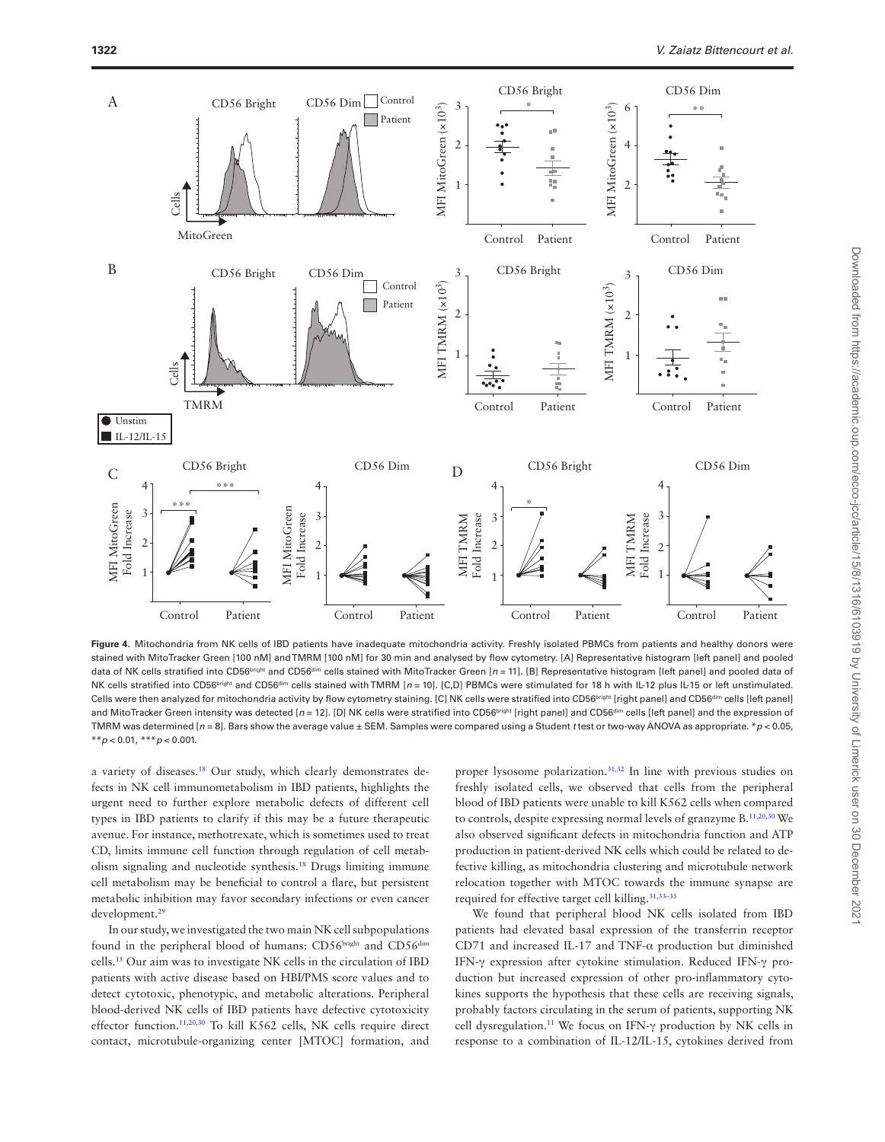

<span id="page-6-0"></span>Figure 4. Mitochondria from NK cells of IBD patients have inadequate mitochondria activity. Freshly isolated PBMCs from patients and healthy donors were stained with MitoTracker Green [100 nM] and TMRM [100 nM] for 30 min and analysed by flow cytometry. [A] Representative histogram [left panel] and pooled data of NK cells stratified into CD56<sup>bright</sup> and CD56<sup>dim</sup> cells stained with MitoTracker Green [n = 11]. [B] Representative histogram [left panel] and pooled data of NK cells stratified into CD56bright and CD56<sup>dim</sup> cells stained with TMRM [n = 10]. [C,D] PBMCs were stimulated for 18 h with IL-12 plus IL-15 or left unstimulated. Cells were then analyzed for mitochondria activity by flow cytometry staining. [C] NK cells were stratified into CD56<sup>bright</sup> [right panel] and CD56<sup>dim</sup> cells [left panel] and MitoTracker Green intensity was detected [n = 12]. [D] NK cells were stratified into CD56biright [right panel] and CD56<sup>dim</sup> cells [left panel] and the expression of TMRM was determined [*n* = 8]. Bars show the average value ± SEM. Samples were compared using a Student *t* test or two-way ANOVA as appropriate. \**p* < 0.05, \*\**p* < 0.01, \*\*\**p* < 0.001.

a variety of diseases[.18](#page-8-15) Our study, which clearly demonstrates defects in NK cell immunometabolism in IBD patients, highlights the urgent need to further explore metabolic defects of different cell types in IBD patients to clarify if this may be a future therapeutic avenue. For instance, methotrexate, which is sometimes used to treat CD, limits immune cell function through regulation of cell metabolism signaling and nucleotide synthesis.[18](#page-8-15) Drugs limiting immune cell metabolism may be beneficial to control a flare, but persistent metabolic inhibition may favor secondary infections or even cancer development[.29](#page-8-26)

In our study, we investigated the two main NK cell subpopulations found in the peripheral blood of humans: CD56bright and CD56dim cells[.15](#page-8-12) Our aim was to investigate NK cells in the circulation of IBD patients with active disease based on HBI/PMS score values and to detect cytotoxic, phenotypic, and metabolic alterations. Peripheral blood-derived NK cells of IBD patients have defective cytotoxicity effector function.<sup>11[,20,](#page-8-17)[30](#page-8-27)</sup> To kill K562 cells, NK cells require direct contact, microtubule-organizing center [MTOC] formation, and proper lysosome polarization.[31,](#page-8-28)[32](#page-8-29) In line with previous studies on freshly isolated cells, we observed that cells from the peripheral blood of IBD patients were unable to kill K562 cells when compared to controls, despite expressing normal levels of granzyme B[.11,](#page-8-9)[20](#page-8-17)[,30](#page-8-27) We also observed significant defects in mitochondria function and ATP production in patient-derived NK cells which could be related to defective killing, as mitochondria clustering and microtubule network relocation together with MTOC towards the immune synapse are required for effective target cell killing[.31,](#page-8-28)[33](#page-8-30)[–35](#page-8-31)

We found that peripheral blood NK cells isolated from IBD patients had elevated basal expression of the transferrin receptor CD71 and increased IL-17 and TNF-α production but diminished IFN-γ expression after cytokine stimulation. Reduced IFN-γ production but increased expression of other pro-inflammatory cytokines supports the hypothesis that these cells are receiving signals, probably factors circulating in the serum of patients, supporting NK cell dysregulation.[11](#page-8-9) We focus on IFN-γ production by NK cells in response to a combination of IL-12/IL-15, cytokines derived from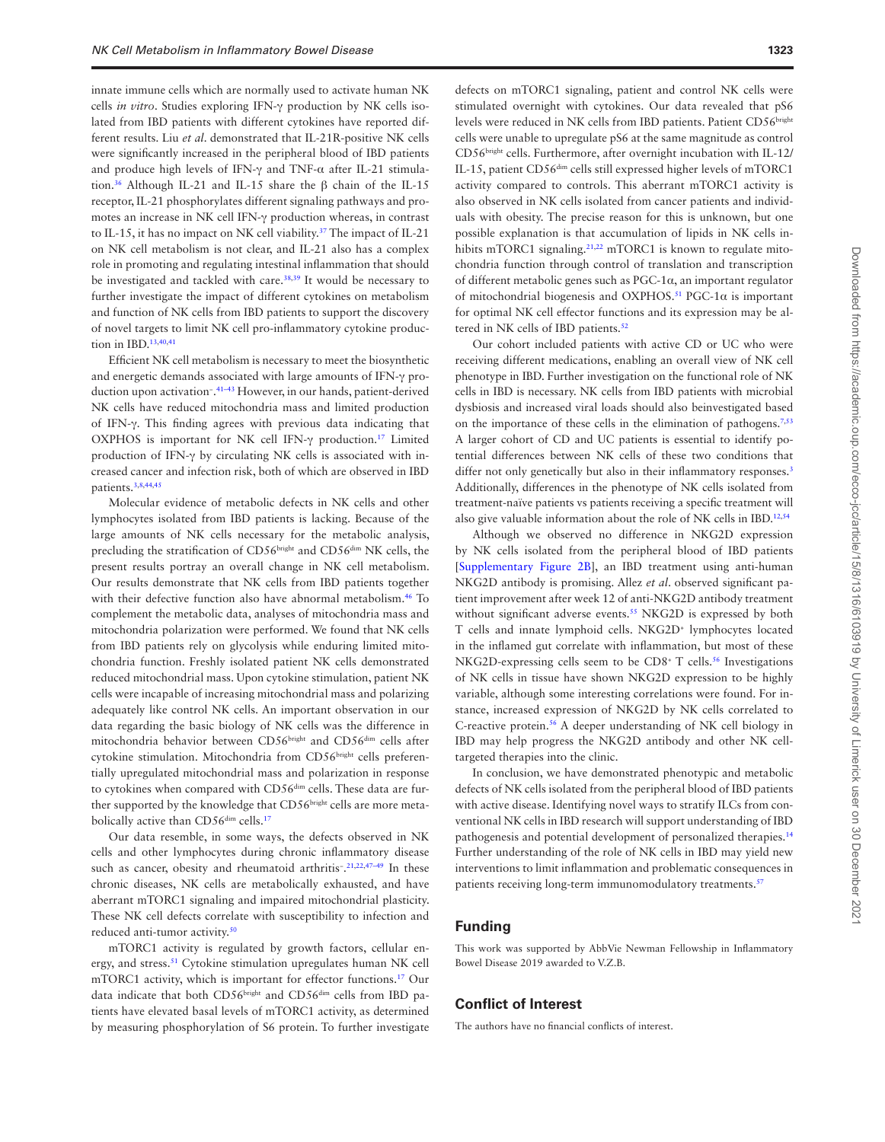innate immune cells which are normally used to activate human NK cells *in vitro*. Studies exploring IFN-γ production by NK cells isolated from IBD patients with different cytokines have reported different results. Liu *et al*. demonstrated that IL-21R-positive NK cells were significantly increased in the peripheral blood of IBD patients and produce high levels of IFN-γ and TNF-α after IL-21 stimulation[.36](#page-8-32) Although IL-21 and IL-15 share the β chain of the IL-15 receptor, IL-21 phosphorylates different signaling pathways and promotes an increase in NK cell IFN-γ production whereas, in contrast to IL-15, it has no impact on NK cell viability.[37](#page-8-33) The impact of IL-21 on NK cell metabolism is not clear, and IL-21 also has a complex role in promoting and regulating intestinal inflammation that should be investigated and tackled with care.<sup>38,39</sup> It would be necessary to further investigate the impact of different cytokines on metabolism and function of NK cells from IBD patients to support the discovery of novel targets to limit NK cell pro-inflammatory cytokine produc-tion in IBD.<sup>[13,](#page-8-10)[40](#page-9-0),[41](#page-9-1)</sup>

Efficient NK cell metabolism is necessary to meet the biosynthetic and energetic demands associated with large amounts of IFN-γ production upon activation− . [41](#page-9-1)[–43](#page-9-2) However, in our hands, patient-derived NK cells have reduced mitochondria mass and limited production of IFN-γ. This finding agrees with previous data indicating that OXPHOS is important for NK cell IFN-γ production[.17](#page-8-14) Limited production of IFN-γ by circulating NK cells is associated with increased cancer and infection risk, both of which are observed in IBD patients[.3](#page-8-2)[,8](#page-8-6)[,44](#page-9-3),[45](#page-9-4)

Molecular evidence of metabolic defects in NK cells and other lymphocytes isolated from IBD patients is lacking. Because of the large amounts of NK cells necessary for the metabolic analysis, precluding the stratification of CD56bright and CD56<sup>dim</sup> NK cells, the present results portray an overall change in NK cell metabolism. Our results demonstrate that NK cells from IBD patients together with their defective function also have abnormal metabolism[.46](#page-9-5) To complement the metabolic data, analyses of mitochondria mass and mitochondria polarization were performed. We found that NK cells from IBD patients rely on glycolysis while enduring limited mitochondria function. Freshly isolated patient NK cells demonstrated reduced mitochondrial mass. Upon cytokine stimulation, patient NK cells were incapable of increasing mitochondrial mass and polarizing adequately like control NK cells. An important observation in our data regarding the basic biology of NK cells was the difference in mitochondria behavior between CD56bright and CD56<sup>dim</sup> cells after cytokine stimulation. Mitochondria from CD56bright cells preferentially upregulated mitochondrial mass and polarization in response to cytokines when compared with CD56<sup>dim</sup> cells. These data are further supported by the knowledge that CD56bright cells are more metabolically active than CD56<sup>dim</sup> cells.<sup>17</sup>

Our data resemble, in some ways, the defects observed in NK cells and other lymphocytes during chronic inflammatory disease such as cancer, obesity and rheumatoid arthritis<sup>-</sup>.<sup>[21](#page-8-18)[,22,](#page-8-19)[47](#page-9-6)–49</sup> In these chronic diseases, NK cells are metabolically exhausted, and have aberrant mTORC1 signaling and impaired mitochondrial plasticity. These NK cell defects correlate with susceptibility to infection and reduced anti-tumor activity.[50](#page-9-8)

mTORC1 activity is regulated by growth factors, cellular energy, and stress.<sup>51</sup> Cytokine stimulation upregulates human NK cell mTORC1 activity, which is important for effector functions.[17](#page-8-14) Our data indicate that both CD56bright and CD56dim cells from IBD patients have elevated basal levels of mTORC1 activity, as determined by measuring phosphorylation of S6 protein. To further investigate

defects on mTORC1 signaling, patient and control NK cells were stimulated overnight with cytokines. Our data revealed that pS6 levels were reduced in NK cells from IBD patients. Patient CD56<sup>bright</sup> cells were unable to upregulate pS6 at the same magnitude as control CD56bright cells. Furthermore, after overnight incubation with IL-12/ IL-15, patient CD56dim cells still expressed higher levels of mTORC1 activity compared to controls. This aberrant mTORC1 activity is also observed in NK cells isolated from cancer patients and individuals with obesity. The precise reason for this is unknown, but one possible explanation is that accumulation of lipids in NK cells in-hibits mTORC1 signaling.<sup>[21](#page-8-18),22</sup> mTORC1 is known to regulate mitochondria function through control of translation and transcription of different metabolic genes such as PGC-1α, an important regulator of mitochondrial biogenesis and OXPHOS.<sup>51</sup> PGC-1 $\alpha$  is important for optimal NK cell effector functions and its expression may be al-tered in NK cells of IBD patients.<sup>[52](#page-9-10)</sup>

Our cohort included patients with active CD or UC who were receiving different medications, enabling an overall view of NK cell phenotype in IBD. Further investigation on the functional role of NK cells in IBD is necessary. NK cells from IBD patients with microbial dysbiosis and increased viral loads should also beinvestigated based on the importance of these cells in the elimination of pathogens.<sup>7,[53](#page-9-11)</sup> A larger cohort of CD and UC patients is essential to identify potential differences between NK cells of these two conditions that differ not only genetically but also in their inflammatory responses.<sup>[3](#page-8-2)</sup> Additionally, differences in the phenotype of NK cells isolated from treatment-naïve patients vs patients receiving a specific treatment will also give valuable information about the role of NK cells in IBD[.12](#page-8-37),[54](#page-9-12)

Although we observed no difference in NKG2D expression by NK cells isolated from the peripheral blood of IBD patients [[Supplementary Figure 2B](http://academic.oup.com/ecco-jcc/article-lookup/doi/10.1093/ecco-jcc/jjab014#supplementary-data)], an IBD treatment using anti-human NKG2D antibody is promising. Allez *et al*. observed significant patient improvement after week 12 of anti-NKG2D antibody treatment without significant adverse events.<sup>[55](#page-9-13)</sup> NKG2D is expressed by both T cells and innate lymphoid cells. NKG2D+ lymphocytes located in the inflamed gut correlate with inflammation, but most of these NKG2D-expressing cells seem to be CD8<sup>+</sup> T cells.<sup>56</sup> Investigations of NK cells in tissue have shown NKG2D expression to be highly variable, although some interesting correlations were found. For instance, increased expression of NKG2D by NK cells correlated to C-reactive protein.<sup>56</sup> A deeper understanding of NK cell biology in IBD may help progress the NKG2D antibody and other NK celltargeted therapies into the clinic.

In conclusion, we have demonstrated phenotypic and metabolic defects of NK cells isolated from the peripheral blood of IBD patients with active disease. Identifying novel ways to stratify ILCs from conventional NK cells in IBD research will support understanding of IBD pathogenesis and potential development of personalized therapies.[14](#page-8-11) Further understanding of the role of NK cells in IBD may yield new interventions to limit inflammation and problematic consequences in patients receiving long-term immunomodulatory treatments.<sup>[57](#page-9-15)</sup>

## **Funding**

This work was supported by AbbVie Newman Fellowship in Inflammatory Bowel Disease 2019 awarded to V.Z.B.

### **Conflict of Interest**

The authors have no financial conflicts of interest.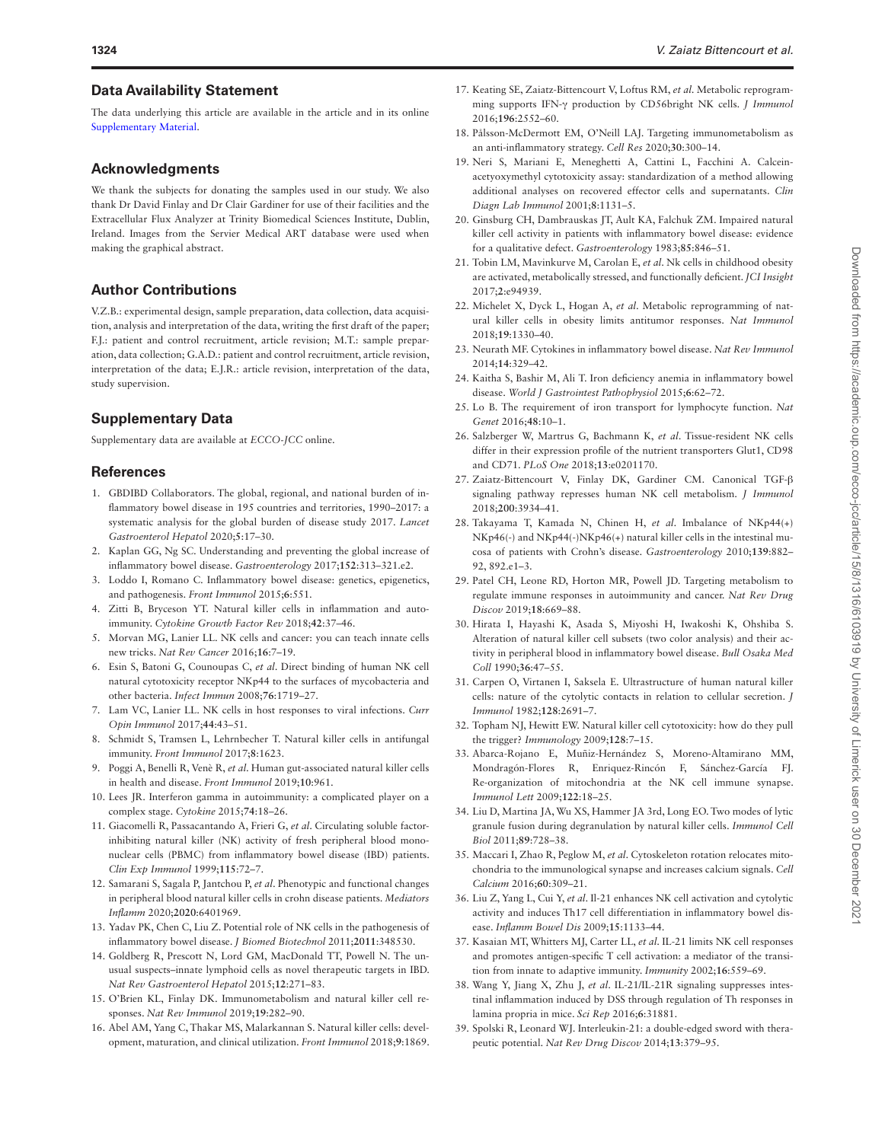## **Data Availability Statement**

The data underlying this article are available in the article and in its online [Supplementary Material](http://academic.oup.com/ecco-jcc/article-lookup/doi/10.1093/ecco-jcc/jjab014#supplementary-data).

#### **Acknowledgments**

We thank the subjects for donating the samples used in our study. We also thank Dr David Finlay and Dr Clair Gardiner for use of their facilities and the Extracellular Flux Analyzer at Trinity Biomedical Sciences Institute, Dublin, Ireland. Images from the Servier Medical ART database were used when making the graphical abstract.

## **Author Contributions**

V.Z.B.: experimental design, sample preparation, data collection, data acquisition, analysis and interpretation of the data, writing the first draft of the paper; F.J.: patient and control recruitment, article revision; M.T.: sample preparation, data collection; G.A.D.: patient and control recruitment, article revision, interpretation of the data; E.J.R.: article revision, interpretation of the data, study supervision.

### **Supplementary Data**

Supplementary data are available at *ECCO-JCC* online.

#### **References**

- <span id="page-8-0"></span>1. GBDIBD Collaborators. The global, regional, and national burden of inflammatory bowel disease in 195 countries and territories, 1990–2017: a systematic analysis for the global burden of disease study 2017. *Lancet Gastroenterol Hepatol* 2020;**5**:17–30.
- <span id="page-8-1"></span>2. Kaplan GG, Ng SC. Understanding and preventing the global increase of inflammatory bowel disease. *Gastroenterology* 2017;**152**:313–321.e2.
- <span id="page-8-2"></span>3. Loddo I, Romano C. Inflammatory bowel disease: genetics, epigenetics, and pathogenesis. *Front Immunol* 2015;**6**:551.
- <span id="page-8-3"></span>4. Zitti B, Bryceson YT. Natural killer cells in inflammation and autoimmunity. *Cytokine Growth Factor Rev* 2018;**42**:37–46.
- <span id="page-8-4"></span>5. Morvan MG, Lanier LL. NK cells and cancer: you can teach innate cells new tricks. *Nat Rev Cancer* 2016;**16**:7–19.
- <span id="page-8-5"></span>6. Esin S, Batoni G, Counoupas C, *et al*. Direct binding of human NK cell natural cytotoxicity receptor NKp44 to the surfaces of mycobacteria and other bacteria. *Infect Immun* 2008;**76**:1719–27.
- <span id="page-8-36"></span>7. Lam VC, Lanier LL. NK cells in host responses to viral infections. *Curr Opin Immunol* 2017;**44**:43–51.
- <span id="page-8-6"></span>8. Schmidt S, Tramsen L, Lehrnbecher T. Natural killer cells in antifungal immunity. *Front Immunol* 2017;**8**:1623.
- <span id="page-8-7"></span>9. Poggi A, Benelli R, Venè R, *et al*. Human gut-associated natural killer cells in health and disease. *Front Immunol* 2019;**10**:961.
- <span id="page-8-8"></span>10. Lees JR. Interferon gamma in autoimmunity: a complicated player on a complex stage. *Cytokine* 2015;**74**:18–26.
- <span id="page-8-9"></span>11. Giacomelli R, Passacantando A, Frieri G, *et al*. Circulating soluble factorinhibiting natural killer (NK) activity of fresh peripheral blood mononuclear cells (PBMC) from inflammatory bowel disease (IBD) patients. *Clin Exp Immunol* 1999;**115**:72–7.
- <span id="page-8-37"></span>12. Samarani S, Sagala P, Jantchou P, *et al*. Phenotypic and functional changes in peripheral blood natural killer cells in crohn disease patients. *Mediators Inflamm* 2020;**2020**:6401969.
- <span id="page-8-10"></span>13. Yadav PK, Chen C, Liu Z. Potential role of NK cells in the pathogenesis of inflammatory bowel disease. *J Biomed Biotechnol* 2011;**2011**:348530.
- <span id="page-8-11"></span>14. Goldberg R, Prescott N, Lord GM, MacDonald TT, Powell N. The unusual suspects–innate lymphoid cells as novel therapeutic targets in IBD. *Nat Rev Gastroenterol Hepatol* 2015;**12**:271–83.
- <span id="page-8-12"></span>15. O'Brien KL, Finlay DK. Immunometabolism and natural killer cell responses. *Nat Rev Immunol* 2019;**19**:282–90.
- <span id="page-8-13"></span>16. Abel AM, Yang C, Thakar MS, Malarkannan S. Natural killer cells: development, maturation, and clinical utilization. *Front Immunol* 2018;**9**:1869.
- <span id="page-8-14"></span>17. Keating SE, Zaiatz-Bittencourt V, Loftus RM, *et al*. Metabolic reprogramming supports IFN-γ production by CD56bright NK cells. *J Immunol* 2016;**196**:2552–60.
- <span id="page-8-15"></span>18. Pålsson-McDermott EM, O'Neill LAJ. Targeting immunometabolism as an anti-inflammatory strategy. *Cell Res* 2020;**30**:300–14.
- <span id="page-8-16"></span>19. Neri S, Mariani E, Meneghetti A, Cattini L, Facchini A. Calceinacetyoxymethyl cytotoxicity assay: standardization of a method allowing additional analyses on recovered effector cells and supernatants. *Clin Diagn Lab Immunol* 2001;**8**:1131–5.
- <span id="page-8-17"></span>20. Ginsburg CH, Dambrauskas JT, Ault KA, Falchuk ZM. Impaired natural killer cell activity in patients with inflammatory bowel disease: evidence for a qualitative defect. *Gastroenterology* 1983;**85**:846–51.
- <span id="page-8-18"></span>21. Tobin LM, Mavinkurve M, Carolan E, *et al*. Nk cells in childhood obesity are activated, metabolically stressed, and functionally deficient. *JCI Insight* 2017;**2**:e94939.
- <span id="page-8-19"></span>22. Michelet X, Dyck L, Hogan A, *et al*. Metabolic reprogramming of natural killer cells in obesity limits antitumor responses. *Nat Immunol* 2018;**19**:1330–40.
- <span id="page-8-20"></span>23. Neurath MF. Cytokines in inflammatory bowel disease. *Nat Rev Immunol* 2014;**14**:329–42.
- <span id="page-8-21"></span>24. Kaitha S, Bashir M, Ali T. Iron deficiency anemia in inflammatory bowel disease. *World J Gastrointest Pathophysiol* 2015;**6**:62–72.
- <span id="page-8-22"></span>25. Lo B. The requirement of iron transport for lymphocyte function. *Nat Genet* 2016;**48**:10–1.
- <span id="page-8-23"></span>26. Salzberger W, Martrus G, Bachmann K, *et al*. Tissue-resident NK cells differ in their expression profile of the nutrient transporters Glut1, CD98 and CD71. *PLoS One* 2018;**13**:e0201170.
- <span id="page-8-24"></span>27. Zaiatz-Bittencourt V, Finlay DK, Gardiner CM. Canonical TGF-β signaling pathway represses human NK cell metabolism. *J Immunol* 2018;**200**:3934–41.
- <span id="page-8-25"></span>28. Takayama T, Kamada N, Chinen H, *et al*. Imbalance of NKp44(+) NKp46(-) and NKp44(-)NKp46(+) natural killer cells in the intestinal mucosa of patients with Crohn's disease. *Gastroenterology* 2010;**139**:882– 92, 892.e1–3.
- <span id="page-8-26"></span>29. Patel CH, Leone RD, Horton MR, Powell JD. Targeting metabolism to regulate immune responses in autoimmunity and cancer. *Nat Rev Drug Discov* 2019;**18**:669–88.
- <span id="page-8-27"></span>30. Hirata I, Hayashi K, Asada S, Miyoshi H, Iwakoshi K, Ohshiba S. Alteration of natural killer cell subsets (two color analysis) and their activity in peripheral blood in inflammatory bowel disease. *Bull Osaka Med Coll* 1990;**36**:47–55.
- <span id="page-8-28"></span>31. Carpen O, Virtanen I, Saksela E. Ultrastructure of human natural killer cells: nature of the cytolytic contacts in relation to cellular secretion. *J Immunol* 1982;**128**:2691–7.
- <span id="page-8-29"></span>32. Topham NJ, Hewitt EW. Natural killer cell cytotoxicity: how do they pull the trigger? *Immunology* 2009;**128**:7–15.
- <span id="page-8-30"></span>33. Abarca-Rojano E, Muñiz-Hernández S, Moreno-Altamirano MM, Mondragón-Flores R, Enriquez-Rincón F, Sánchez-García FJ. Re-organization of mitochondria at the NK cell immune synapse. *Immunol Lett* 2009;**122**:18–25.
- 34. Liu D, Martina JA, Wu XS, Hammer JA 3rd, Long EO. Two modes of lytic granule fusion during degranulation by natural killer cells. *Immunol Cell Biol* 2011;**89**:728–38.
- <span id="page-8-31"></span>35. Maccari I, Zhao R, Peglow M, *et al*. Cytoskeleton rotation relocates mitochondria to the immunological synapse and increases calcium signals. *Cell Calcium* 2016;**60**:309–21.
- <span id="page-8-32"></span>36. Liu Z, Yang L, Cui Y, *et al*. Il-21 enhances NK cell activation and cytolytic activity and induces Th17 cell differentiation in inflammatory bowel disease. *Inflamm Bowel Dis* 2009;**15**:1133–44.
- <span id="page-8-33"></span>37. Kasaian MT, Whitters MJ, Carter LL, *et al*. IL-21 limits NK cell responses and promotes antigen-specific T cell activation: a mediator of the transition from innate to adaptive immunity. *Immunity* 2002;**16**:559–69.
- <span id="page-8-34"></span>38. Wang Y, Jiang X, Zhu J, *et al*. IL-21/IL-21R signaling suppresses intestinal inflammation induced by DSS through regulation of Th responses in lamina propria in mice. *Sci Rep* 2016;**6**:31881.
- <span id="page-8-35"></span>39. Spolski R, Leonard WJ. Interleukin-21: a double-edged sword with therapeutic potential. *Nat Rev Drug Discov* 2014;**13**:379–95.